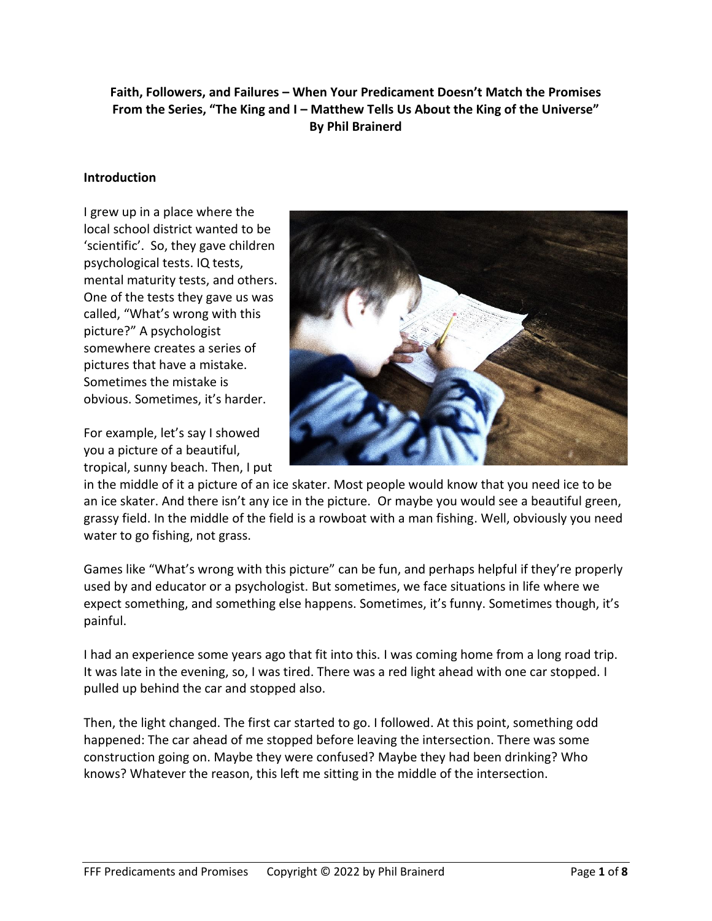**Faith, Followers, and Failures – When Your Predicament Doesn't Match the Promises From the Series, "The King and I – Matthew Tells Us About the King of the Universe" By Phil Brainerd**

#### **Introduction**

I grew up in a place where the local school district wanted to be 'scientific'. So, they gave children psychological tests. IQ tests, mental maturity tests, and others. One of the tests they gave us was called, "What's wrong with this picture?" A psychologist somewhere creates a series of pictures that have a mistake. Sometimes the mistake is obvious. Sometimes, it's harder.

For example, let's say I showed you a picture of a beautiful, tropical, sunny beach. Then, I put



in the middle of it a picture of an ice skater. Most people would know that you need ice to be an ice skater. And there isn't any ice in the picture. Or maybe you would see a beautiful green, grassy field. In the middle of the field is a rowboat with a man fishing. Well, obviously you need water to go fishing, not grass.

Games like "What's wrong with this picture" can be fun, and perhaps helpful if they're properly used by and educator or a psychologist. But sometimes, we face situations in life where we expect something, and something else happens. Sometimes, it's funny. Sometimes though, it's painful.

I had an experience some years ago that fit into this. I was coming home from a long road trip. It was late in the evening, so, I was tired. There was a red light ahead with one car stopped. I pulled up behind the car and stopped also.

Then, the light changed. The first car started to go. I followed. At this point, something odd happened: The car ahead of me stopped before leaving the intersection. There was some construction going on. Maybe they were confused? Maybe they had been drinking? Who knows? Whatever the reason, this left me sitting in the middle of the intersection.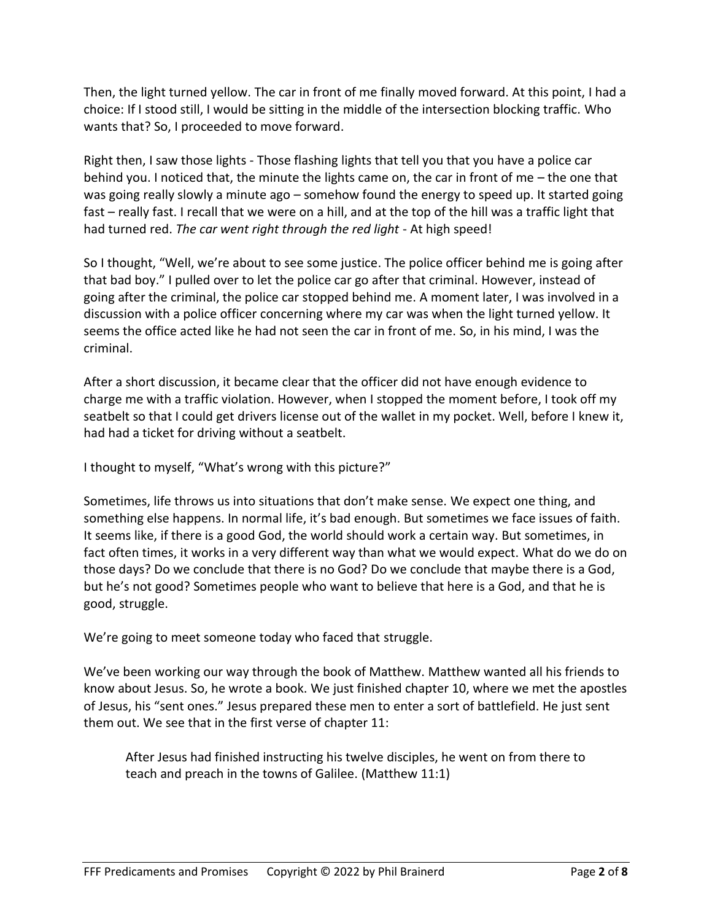Then, the light turned yellow. The car in front of me finally moved forward. At this point, I had a choice: If I stood still, I would be sitting in the middle of the intersection blocking traffic. Who wants that? So, I proceeded to move forward.

Right then, I saw those lights - Those flashing lights that tell you that you have a police car behind you. I noticed that, the minute the lights came on, the car in front of me – the one that was going really slowly a minute ago – somehow found the energy to speed up. It started going fast – really fast. I recall that we were on a hill, and at the top of the hill was a traffic light that had turned red. *The car went right through the red light* - At high speed!

So I thought, "Well, we're about to see some justice. The police officer behind me is going after that bad boy." I pulled over to let the police car go after that criminal. However, instead of going after the criminal, the police car stopped behind me. A moment later, I was involved in a discussion with a police officer concerning where my car was when the light turned yellow. It seems the office acted like he had not seen the car in front of me. So, in his mind, I was the criminal.

After a short discussion, it became clear that the officer did not have enough evidence to charge me with a traffic violation. However, when I stopped the moment before, I took off my seatbelt so that I could get drivers license out of the wallet in my pocket. Well, before I knew it, had had a ticket for driving without a seatbelt.

I thought to myself, "What's wrong with this picture?"

Sometimes, life throws us into situations that don't make sense. We expect one thing, and something else happens. In normal life, it's bad enough. But sometimes we face issues of faith. It seems like, if there is a good God, the world should work a certain way. But sometimes, in fact often times, it works in a very different way than what we would expect. What do we do on those days? Do we conclude that there is no God? Do we conclude that maybe there is a God, but he's not good? Sometimes people who want to believe that here is a God, and that he is good, struggle.

We're going to meet someone today who faced that struggle.

We've been working our way through the book of Matthew. Matthew wanted all his friends to know about Jesus. So, he wrote a book. We just finished chapter 10, where we met the apostles of Jesus, his "sent ones." Jesus prepared these men to enter a sort of battlefield. He just sent them out. We see that in the first verse of chapter 11:

After Jesus had finished instructing his twelve disciples, he went on from there to teach and preach in the towns of Galilee. (Matthew 11:1)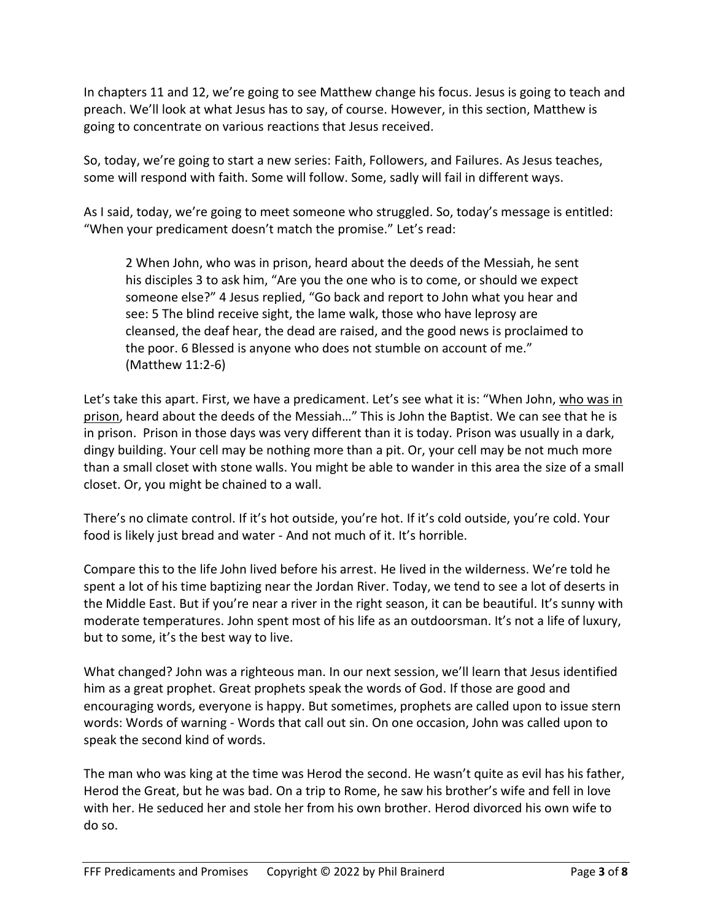In chapters 11 and 12, we're going to see Matthew change his focus. Jesus is going to teach and preach. We'll look at what Jesus has to say, of course. However, in this section, Matthew is going to concentrate on various reactions that Jesus received.

So, today, we're going to start a new series: Faith, Followers, and Failures. As Jesus teaches, some will respond with faith. Some will follow. Some, sadly will fail in different ways.

As I said, today, we're going to meet someone who struggled. So, today's message is entitled: "When your predicament doesn't match the promise." Let's read:

2 When John, who was in prison, heard about the deeds of the Messiah, he sent his disciples 3 to ask him, "Are you the one who is to come, or should we expect someone else?" 4 Jesus replied, "Go back and report to John what you hear and see: 5 The blind receive sight, the lame walk, those who have leprosy are cleansed, the deaf hear, the dead are raised, and the good news is proclaimed to the poor. 6 Blessed is anyone who does not stumble on account of me." (Matthew 11:2-6)

Let's take this apart. First, we have a predicament. Let's see what it is: "When John, who was in prison, heard about the deeds of the Messiah…" This is John the Baptist. We can see that he is in prison. Prison in those days was very different than it is today. Prison was usually in a dark, dingy building. Your cell may be nothing more than a pit. Or, your cell may be not much more than a small closet with stone walls. You might be able to wander in this area the size of a small closet. Or, you might be chained to a wall.

There's no climate control. If it's hot outside, you're hot. If it's cold outside, you're cold. Your food is likely just bread and water - And not much of it. It's horrible.

Compare this to the life John lived before his arrest. He lived in the wilderness. We're told he spent a lot of his time baptizing near the Jordan River. Today, we tend to see a lot of deserts in the Middle East. But if you're near a river in the right season, it can be beautiful. It's sunny with moderate temperatures. John spent most of his life as an outdoorsman. It's not a life of luxury, but to some, it's the best way to live.

What changed? John was a righteous man. In our next session, we'll learn that Jesus identified him as a great prophet. Great prophets speak the words of God. If those are good and encouraging words, everyone is happy. But sometimes, prophets are called upon to issue stern words: Words of warning - Words that call out sin. On one occasion, John was called upon to speak the second kind of words.

The man who was king at the time was Herod the second. He wasn't quite as evil has his father, Herod the Great, but he was bad. On a trip to Rome, he saw his brother's wife and fell in love with her. He seduced her and stole her from his own brother. Herod divorced his own wife to do so.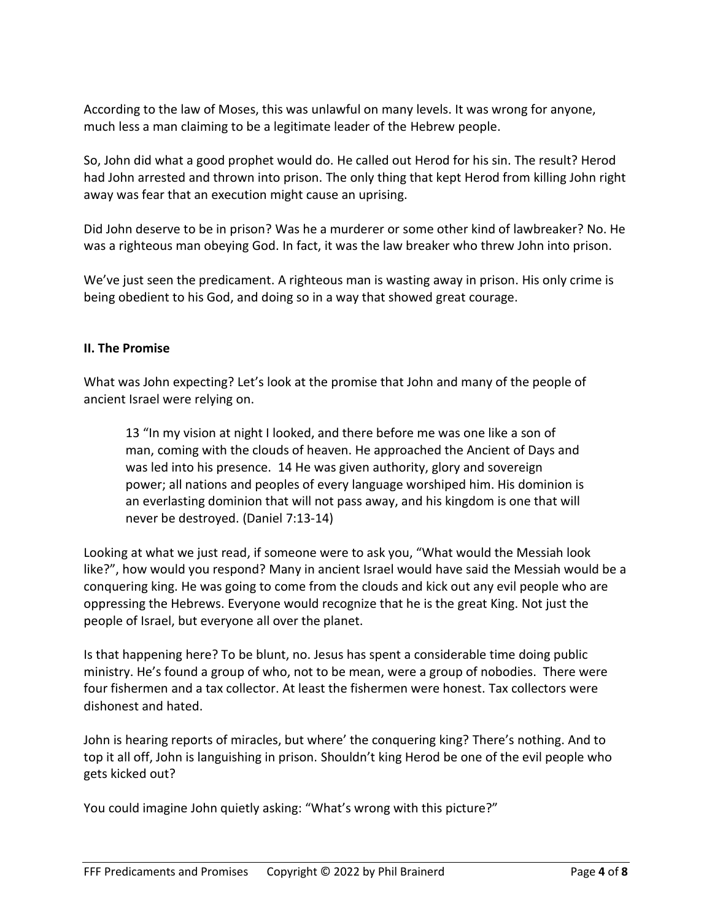According to the law of Moses, this was unlawful on many levels. It was wrong for anyone, much less a man claiming to be a legitimate leader of the Hebrew people.

So, John did what a good prophet would do. He called out Herod for his sin. The result? Herod had John arrested and thrown into prison. The only thing that kept Herod from killing John right away was fear that an execution might cause an uprising.

Did John deserve to be in prison? Was he a murderer or some other kind of lawbreaker? No. He was a righteous man obeying God. In fact, it was the law breaker who threw John into prison.

We've just seen the predicament. A righteous man is wasting away in prison. His only crime is being obedient to his God, and doing so in a way that showed great courage.

## **II. The Promise**

What was John expecting? Let's look at the promise that John and many of the people of ancient Israel were relying on.

13 "In my vision at night I looked, and there before me was one like a son of man, coming with the clouds of heaven. He approached the Ancient of Days and was led into his presence. 14 He was given authority, glory and sovereign power; all nations and peoples of every language worshiped him. His dominion is an everlasting dominion that will not pass away, and his kingdom is one that will never be destroyed. (Daniel 7:13-14)

Looking at what we just read, if someone were to ask you, "What would the Messiah look like?", how would you respond? Many in ancient Israel would have said the Messiah would be a conquering king. He was going to come from the clouds and kick out any evil people who are oppressing the Hebrews. Everyone would recognize that he is the great King. Not just the people of Israel, but everyone all over the planet.

Is that happening here? To be blunt, no. Jesus has spent a considerable time doing public ministry. He's found a group of who, not to be mean, were a group of nobodies. There were four fishermen and a tax collector. At least the fishermen were honest. Tax collectors were dishonest and hated.

John is hearing reports of miracles, but where' the conquering king? There's nothing. And to top it all off, John is languishing in prison. Shouldn't king Herod be one of the evil people who gets kicked out?

You could imagine John quietly asking: "What's wrong with this picture?"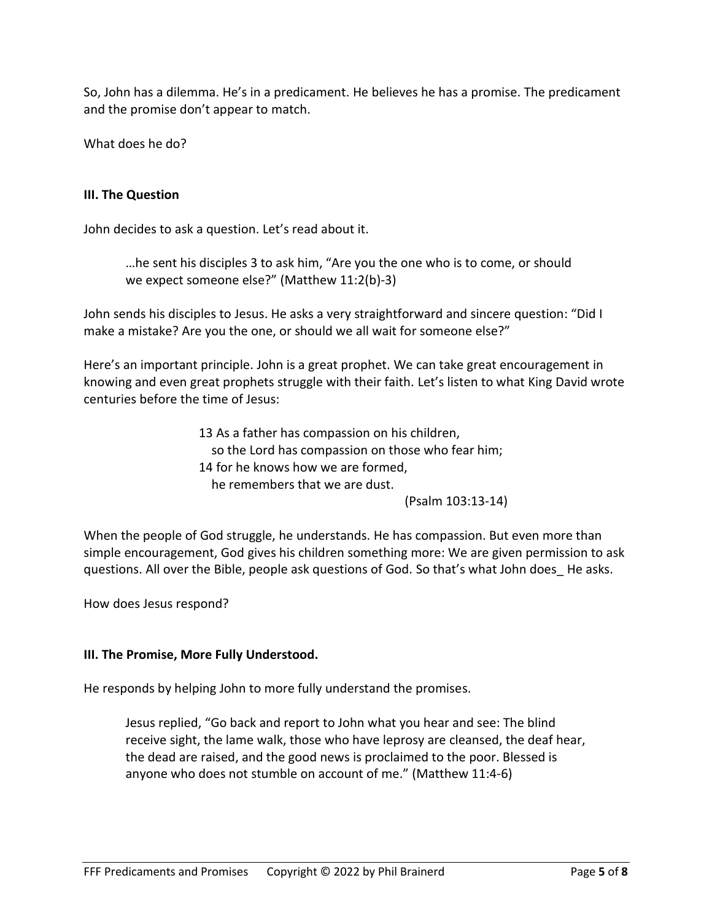So, John has a dilemma. He's in a predicament. He believes he has a promise. The predicament and the promise don't appear to match.

What does he do?

# **III. The Question**

John decides to ask a question. Let's read about it.

…he sent his disciples 3 to ask him, "Are you the one who is to come, or should we expect someone else?" (Matthew 11:2(b)-3)

John sends his disciples to Jesus. He asks a very straightforward and sincere question: "Did I make a mistake? Are you the one, or should we all wait for someone else?"

Here's an important principle. John is a great prophet. We can take great encouragement in knowing and even great prophets struggle with their faith. Let's listen to what King David wrote centuries before the time of Jesus:

> 13 As a father has compassion on his children, so the Lord has compassion on those who fear him; 14 for he knows how we are formed, he remembers that we are dust.

(Psalm 103:13-14)

When the people of God struggle, he understands. He has compassion. But even more than simple encouragement, God gives his children something more: We are given permission to ask questions. All over the Bible, people ask questions of God. So that's what John does\_ He asks.

How does Jesus respond?

## **III. The Promise, More Fully Understood.**

He responds by helping John to more fully understand the promises.

Jesus replied, "Go back and report to John what you hear and see: The blind receive sight, the lame walk, those who have leprosy are cleansed, the deaf hear, the dead are raised, and the good news is proclaimed to the poor. Blessed is anyone who does not stumble on account of me." (Matthew 11:4-6)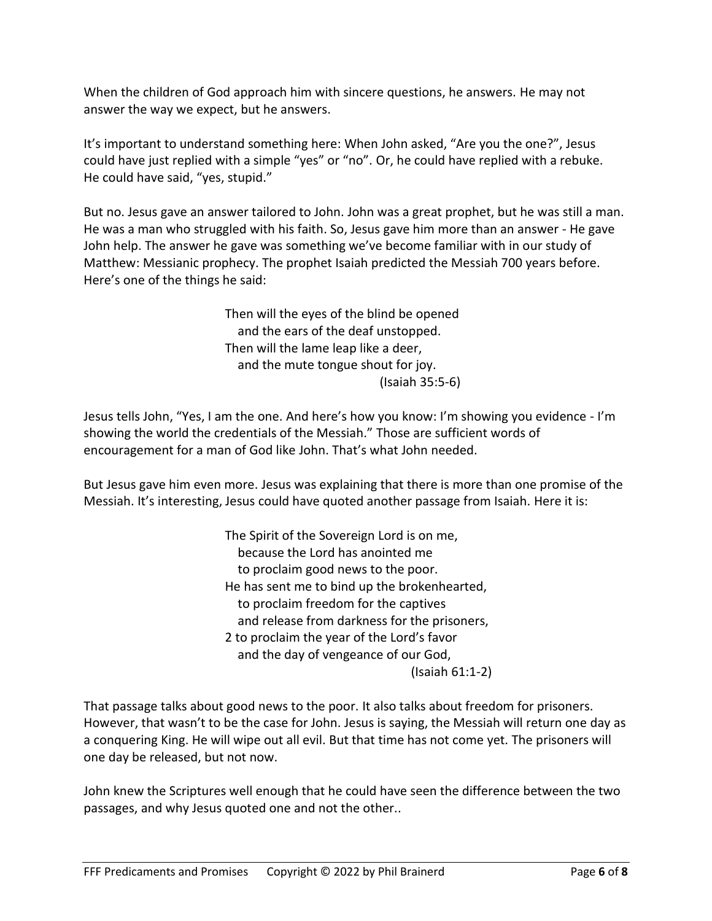When the children of God approach him with sincere questions, he answers. He may not answer the way we expect, but he answers.

It's important to understand something here: When John asked, "Are you the one?", Jesus could have just replied with a simple "yes" or "no". Or, he could have replied with a rebuke. He could have said, "yes, stupid."

But no. Jesus gave an answer tailored to John. John was a great prophet, but he was still a man. He was a man who struggled with his faith. So, Jesus gave him more than an answer - He gave John help. The answer he gave was something we've become familiar with in our study of Matthew: Messianic prophecy. The prophet Isaiah predicted the Messiah 700 years before. Here's one of the things he said:

> Then will the eyes of the blind be opened and the ears of the deaf unstopped. Then will the lame leap like a deer, and the mute tongue shout for joy. (Isaiah 35:5-6)

Jesus tells John, "Yes, I am the one. And here's how you know: I'm showing you evidence - I'm showing the world the credentials of the Messiah." Those are sufficient words of encouragement for a man of God like John. That's what John needed.

But Jesus gave him even more. Jesus was explaining that there is more than one promise of the Messiah. It's interesting, Jesus could have quoted another passage from Isaiah. Here it is:

> The Spirit of the Sovereign Lord is on me, because the Lord has anointed me to proclaim good news to the poor. He has sent me to bind up the brokenhearted, to proclaim freedom for the captives and release from darkness for the prisoners, 2 to proclaim the year of the Lord's favor and the day of vengeance of our God, (Isaiah 61:1-2)

That passage talks about good news to the poor. It also talks about freedom for prisoners. However, that wasn't to be the case for John. Jesus is saying, the Messiah will return one day as a conquering King. He will wipe out all evil. But that time has not come yet. The prisoners will one day be released, but not now.

John knew the Scriptures well enough that he could have seen the difference between the two passages, and why Jesus quoted one and not the other..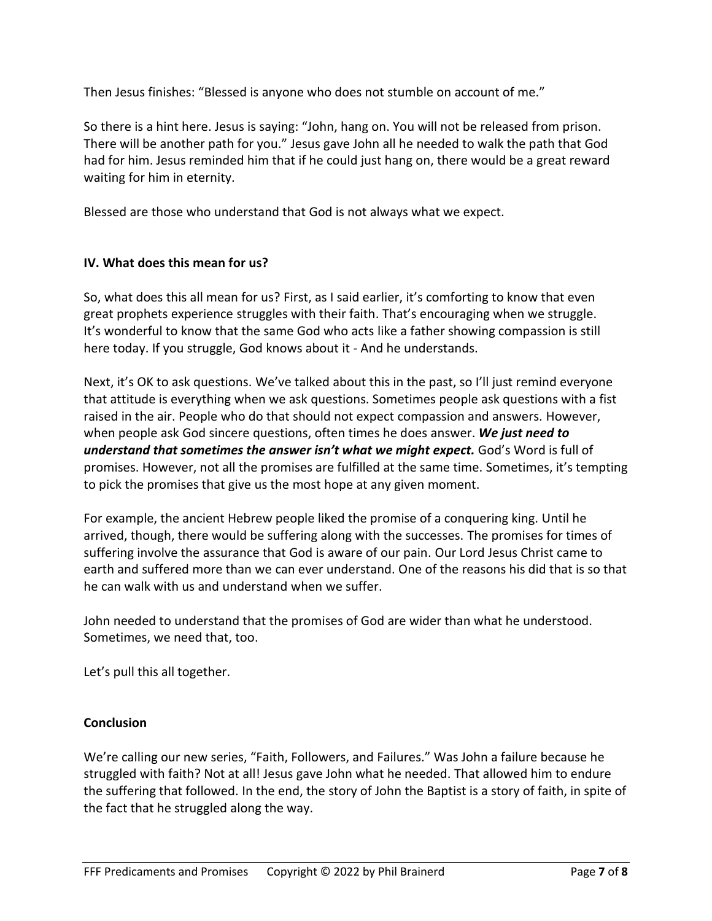Then Jesus finishes: "Blessed is anyone who does not stumble on account of me."

So there is a hint here. Jesus is saying: "John, hang on. You will not be released from prison. There will be another path for you." Jesus gave John all he needed to walk the path that God had for him. Jesus reminded him that if he could just hang on, there would be a great reward waiting for him in eternity.

Blessed are those who understand that God is not always what we expect.

#### **IV. What does this mean for us?**

So, what does this all mean for us? First, as I said earlier, it's comforting to know that even great prophets experience struggles with their faith. That's encouraging when we struggle. It's wonderful to know that the same God who acts like a father showing compassion is still here today. If you struggle, God knows about it - And he understands.

Next, it's OK to ask questions. We've talked about this in the past, so I'll just remind everyone that attitude is everything when we ask questions. Sometimes people ask questions with a fist raised in the air. People who do that should not expect compassion and answers. However, when people ask God sincere questions, often times he does answer. *We just need to understand that sometimes the answer isn't what we might expect.* God's Word is full of promises. However, not all the promises are fulfilled at the same time. Sometimes, it's tempting to pick the promises that give us the most hope at any given moment.

For example, the ancient Hebrew people liked the promise of a conquering king. Until he arrived, though, there would be suffering along with the successes. The promises for times of suffering involve the assurance that God is aware of our pain. Our Lord Jesus Christ came to earth and suffered more than we can ever understand. One of the reasons his did that is so that he can walk with us and understand when we suffer.

John needed to understand that the promises of God are wider than what he understood. Sometimes, we need that, too.

Let's pull this all together.

## **Conclusion**

We're calling our new series, "Faith, Followers, and Failures." Was John a failure because he struggled with faith? Not at all! Jesus gave John what he needed. That allowed him to endure the suffering that followed. In the end, the story of John the Baptist is a story of faith, in spite of the fact that he struggled along the way.